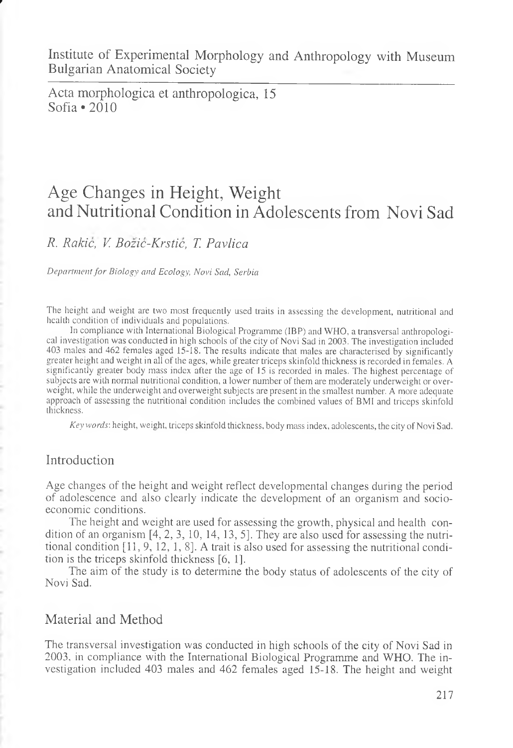Institute of Experimental Morphology and Anthropology with Museum Bulgarian Anatomical Society

Acta morphologica et anthropologica, 15 Sofia  $\cdot$  2010

# Age Changes in Height, Weight and Nutritional Condition in Adolescents from Novi Sad

*R. Rakic, V. Bozic-Krstic, T. Pavlica*

*Department for Biology and Ecology, Novi Sad, Serbia*

The height and weight are two most frequently used traits in assessing the development, nutritional and health condition of individuals and populations.

In compliance with International Biological Programme (IBP) and WHO, a transversal anthropological investigation was conducted in high schools of the city of Novi Sad in 2003. The investigation included 403 males and 462 females aged 15-18. The results indicate that males are characterised by significantly greater height and weight in all of the ages, while greater triceps skinfold thickness is recorded in females. A significantly greater body mass index after the age of 15 is recorded in males. The highest percentage of subjects are with normal nutritional condition, a lower number of them are moderately underweight or overweight, while the underweight and overweight subjects are present in the smallest number. A more adequate approach of assessing the nutritional condition includes the combined values of BMI and triceps skinfold thickness.

*Key words',* height, weight, triceps skinfold thickness, body mass index, adolescents, the city of Novi Sad.

# Introduction

Age changes of the height and weight reflect developmental changes during the period of adolescence and also clearly indicate the development of an organism and socioeconomic conditions.

The height and weight are used for assessing the growth, physical and health condition of an organism [4, 2, 3, 10, 14, 13, 5]. They are also used for assessing the nutritional condition  $[11, 9, 12, 1, 8]$ . A trait is also used for assessing the nutritional condition is the triceps skinfold thickness  $[6, 1]$ .

The aim of the study is to determine the body status of adolescents of the city of Novi Sad.

# Material and Method

The transversal investigation was conducted in high schools of the city of Novi Sad in 2003, in compliance with the International Biological Programme and WHO. The investigation included 403 males and 462 females aged 15-18. The height and weight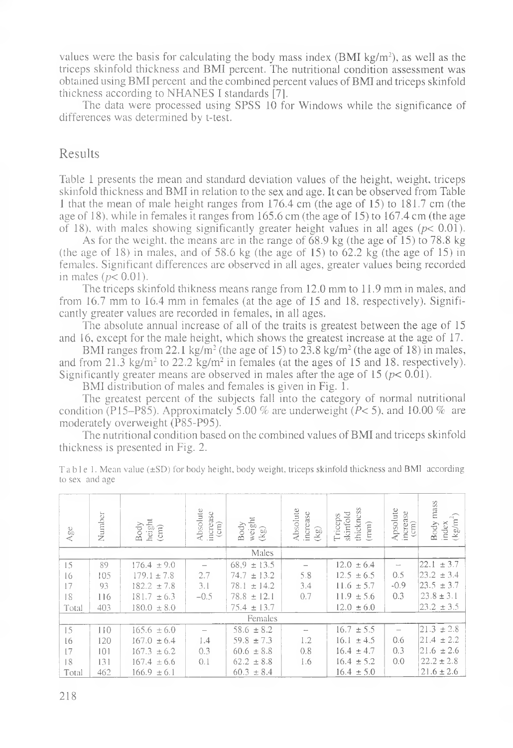values were the basis for calculating the body mass index (BMI kg/m<sup>2</sup>), as well as the triceps skinfold thickness and BMI percent. The nutritional condition assessment was obtained using BMI percent and the combined percent values of BMI and triceps skinfold thickness according to NHANES I standards [7].

The data were processed using SPSS 10 for Windows while the significance of differences was determined by t-test.

### Results

Table 1 presents the mean and standard deviation values of the height, weight, triceps skinfold thickness and BMI in relation to the sex and age. It can be observed from Table 1 that the mean of male height ranges from 176.4 cm (the age of 15) to 181.7 cm (the age of 18), while in females it ranges from 165.6 cm (the age of 15) to 167.4 cm (the age of 18), with males showing significantly greater height values in all ages  $(p< 0.01)$ .

As for the weight, the means are in the range of 68.9 kg (the age of 15) to 78.8 kg (the age of 18) in males, and of 58.6 kg (the age of 15) to 62.2 kg (the age of 15) in females. Significant differences are observed in all ages, greater values being recorded in males ( $p < 0.01$ ).

The triceps skinfold thikness means range from 12.0 mm to 11.9 mm in males, and from 16.7 mm to 16.4 mm in females (at the age of 15 and 18, respectively). Significantly greater values are recorded in females, in all ages.

The absolute annual increase of all of the traits is greatest between the age of 15 and 16, except for the male height, which shows the greatest increase at the age of 17.

BMI ranges from 22.1 kg/m<sup>2</sup> (the age of 15) to 23.8 kg/m<sup>2</sup> (the age of 18) in males, and from 21.3 kg/m<sup>2</sup> to 22.2 kg/m<sup>2</sup> in females (at the ages of 15 and 18, respectively). Significantly greater means are observed in males after the age of 15 *(p<* 0.01).

BMI distribution of males and females is given in Fig. 1.

The greatest percent of the subjects fall into the category of normal nutritional condition (P15-P85). Approximately 5.00 % are underweight *(P<* 5), and 10.00 % are moderately overweight (P85-P95).

The nutritional condition based on the combined values of BMI and triceps skinfold thickness is presented in Fig. 2.

| Age     | Number | height<br>Body<br>(cmi) | Absolute<br>increase<br>$\left( \text{cm} \right)$ | weight<br>Body<br>$(\mathbf{k}\mathbf{g})$ | Absolute<br>increase<br>$(\mathsf{kg})$ | thickness<br>skinfold<br>Triceps<br>(mm) | Apsolute<br>increase<br>$\left( \text{cm}\right)$ | mass<br>$(\mathrm{kg}/\mathrm{m}^2)$<br>Body<br>index |
|---------|--------|-------------------------|----------------------------------------------------|--------------------------------------------|-----------------------------------------|------------------------------------------|---------------------------------------------------|-------------------------------------------------------|
|         |        |                         | Males                                              |                                            |                                         |                                          |                                                   |                                                       |
| 15      | 89     | 176.4<br>± 9.0          |                                                    | 68.9<br>± 13.5                             |                                         | 12.0<br>± 6.4                            |                                                   | ± 3.7<br>22.1                                         |
| 16      | 105    | $179.1 \pm 7.8$         | 2.7                                                | ± 13.2<br>74.7                             | 5.8                                     | $12.5 \pm 6.5$                           | 0.5                                               | ± 3.4<br>23.2                                         |
| 17      | 93     | ±7.8<br>182.2           | 3.1                                                | 78.1<br>± 14.2                             | 3.4                                     | $11.6 \pm 5.7$                           | $-0.9$                                            | ± 3.7<br>23.5                                         |
| 18      | 116    | 181.7.<br>$\pm 6.3$     | $-0.5$                                             | 78.8<br>± 12.1                             | 0.7                                     | $11.9 \pm 5.6$                           | 0.3                                               | ± 3.1<br>23.8                                         |
| Total   | 403    | $180.0 \pm 8.0$         |                                                    | $75.4 \pm 13.7$                            |                                         | $12.0 \pm 6.0$                           |                                                   | $23.2 \pm 3.5$                                        |
| Females |        |                         |                                                    |                                            |                                         |                                          |                                                   |                                                       |
| 15      | 110    | $165.6 \pm 6.0$         |                                                    | $58.6 \pm 8.2$                             |                                         | 16.7<br>± 5.5                            |                                                   | $21.3 \pm 2.8$                                        |
| 16      | 120    | 167.0<br>± 6.4          | 1.4                                                | 59.8<br>±7.3                               | 1.2                                     | 16.1<br>± 4.5                            | 0.6                                               | ± 2.2<br>21.4                                         |
| 17      | 101    | 167.3<br>± 6.2          | 0.3                                                | ± 8.8<br>60.6                              | 0.8                                     | $16.4 \pm 4.7$                           | 0.3                                               | ± 2.6<br>21.6                                         |
| 18      | 131    | $167.4 \pm 6.6$         | 0.1                                                | $62.2 \pm 8.8$                             | 1.6                                     | $16.4 \pm 5.2$                           | 0.0                                               | $22.2 \pm 2.8$                                        |
| Total   | 462    | $166.9 \pm 6.1$         |                                                    | $60.3 \pm 8.4$                             |                                         | $16.4 \pm 5.0$                           |                                                   | $21.6 \pm 2.6$                                        |

Table 1. Mean value (±SD) for body height, body weight, triceps skinfold thickness and BMI according to sex and age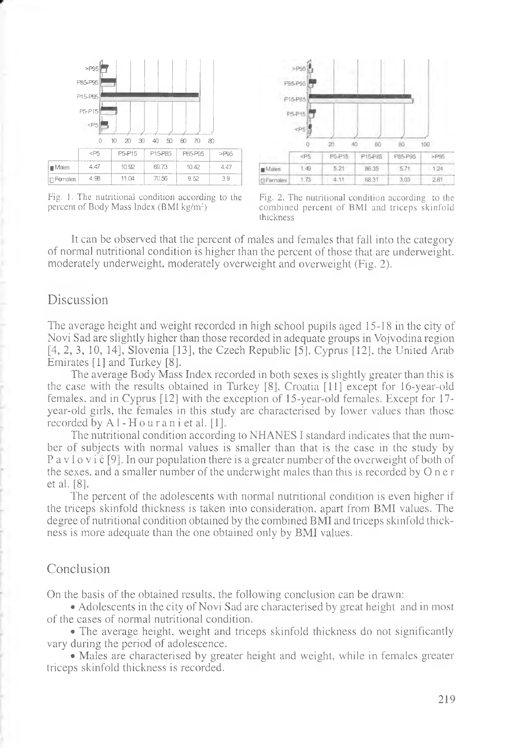

Fig. I. The nutritional condition according to the percent of Body Mass Index (BMI kg/m<sup>2</sup>)



Fig. 2. The nutritional condition according to the combined percent of BMI and triceps skinfold thickness

It can be observed that the percent of males and females that fall into the category of normal nutritional condition is higher than the percent of those that are underweight, moderately underweight, moderately overweight and overweight (Fig. 2).

## Discussion

The average height and weight recorded in high school pupils aged 15-18 in the city of Novi Sad are slightly higher than those recorded in adequate groups in Vojvodina region [4, 2, 3, 10, 14], Slovenia [13], the Czech Republic [5], Cyprus [12], the United Arab Emirates [1] and Turkey [8].

The average Body Mass Index recorded in both sexes is slightly greater than this is the case with the results obtained in Turkey [8], Croatia [11] except for 16-year-old females, and in Cyprus [12] with the exception of 15-year-old females. Except for 17 year-old girls, the females in this study are characterised by lower values than those recorded by Al-Houran i et al. [1].

The nutritional condition according to NHANES I standard indicates that the number of subjects with normal values is smaller than that is the case in the study by P a v l o v i  $\bar{c}$  [9]. In our population there is a greater number of the overweight of both of the sexes, and a smaller number of the underwight males than this is recorded by O n e r et al. [8].

The percent of the adolescents with normal nutritional condition is even higher if the triceps skinfold thickness is taken into consideration, apart from BMI values. The degree of nutritional condition obtained by the combined BMI and triceps skinfold thickness is more adequate than the one obtained only by BMI values.

# Conclusion

On the basis of the obtained results, the following conclusion can be drawn:

• Adolescents in the city of Novi Sad are characterised by great height and in most of the cases of normal nutritional condition.

• The average height, weight and triceps skinfold thickness do not significantly vary during the period of adolescence.

• Males are characterised by greater height and weight, while in females greater triceps skinfold thickness is recorded.